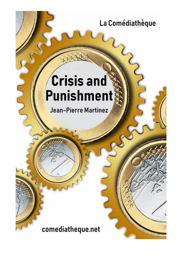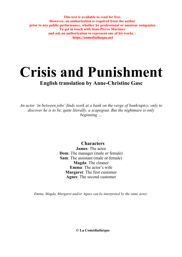**This text is available to read for free. However, an authorization is required from the author prior to any public performance, whether by professional or amateur companies. To get in touch with Jean-Pierre Martinez and ask an authorization to represent one of his works : https://comediatheque.net**

# **Crisis and Punishment**

# **English translation by Anne-Christine Gasc**

*An actor 'in between jobs' finds work at a bank on the verge of bankruptcy, only to discover he is to be, quite literally, a scapegoat. But the nightmare is only beginning …*

**Characters**

**James**: The actor **Dom**: The manager (male or female) **Sam**: The assistant (male or female) **Magda**: The cleaner **Emma**: The actor's wife **Margaret**: The first customer **Agnes**: The second customer

*Emma, Magda, Margaret and/or Agnes can be interpreted by the same actor.*

**© La Comédiathèque**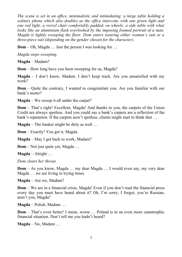*The scene is set in an office, minimalistic and intimidating: a large table holding a solitary phone which also doubles as the office intercom, with one green light and one red light; a swivel chair comfortably padded, on wheels; a side table with what looks like an aluminium flask overlooked by the imposing framed portrait of a man. Magda is lightly sweeping the floor. Dom enters wearing either woman's suit or a three-piece suit (depending on the gender chosen for the character).*

**Dom** – Oh, Magda ... Just the person I was looking for ...

*Magda stops sweeping.*

**Magda** – Madam?

**Dom** – How long have you been sweeping for us, Magda?

**Magda** – I don't know, Madam. I don't keep track. Are you unsatisfied with my work?

**Dom** – Quite the contrary, I wanted to congratulate you. Are you familiar with our bank's motto?

**Magda** – We sweep it all under the carpet?

**Dom** – That's right! Excellent, Magda! And thanks to you, the carpets of the Union Credit are always spotless. And you could say a bank's carpets are a reflection of the bank's reputation. If the carpets aren't spotless, clients might start to think that …

**Magda** – The banker might be dirty as well …

**Dom** – Exactly! You get it, Magda.

**Magda** – May I get back to work, Madam?

**Dom** – Not just quite yet, Magda …

**Magda** – Alright …

*Dom clears her throat.*

**Dom** – As you know, Magda … my dear Magda … I would even say, my very dear Magda … we are living in trying times.

**Magda** – Are we, Madam?

**Dom** – We are in a financial crisis, Magda! Even if you don't read the financial press every day you must have heard about it? Oh, I'm sorry, I forgot, you're Russian, aren't you, Magda?

**Magda** – Polish, Madam …

**Dom** – That's even better! I mean, worse ... Poland is in an even more catastrophic financial situation. Don't tell me you hadn't heard?

**Magda** – No, Madam …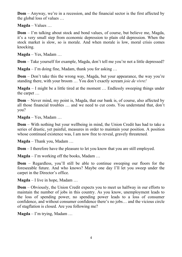**Dom** – Anyway, we're in a recession, and the financial sector is the first affected by the global loss of values …

**Magda** – Values …

**Dom** – I'm talking about stock and bond values, of course, but believe me, Magda, it's a very small step from economic depression to plain old depression. When the stock market is slow, so is morale. And when morale is low, moral crisis comes knocking.

**Magda** – Yes, Madam …

**Dom** – Take yourself for example, Magda, don't tell me you're not a little depressed?

**Magda** – I'm doing fine, Madam, thank you for asking …

**Dom** – Don't take this the wrong way, Magda, but your appearance, the way you're standing there, with your broom … You don't exactly scream *joie de vivre!*

**Magda** – I might be a little tired at the moment … Endlessly sweeping things under the carpet …

**Dom** – Never mind, my point is, Magda, that our bank is, of course, also affected by all those financial troubles … and we need to cut costs. You understand that, don't you?

**Magda** – Yes, Madam …

**Dom** – With nothing but your wellbeing in mind, the Union Credit has had to take a series of drastic, yet painful, measures in order to maintain your position. A position whose continued existence was, I am now free to reveal, gravely threatened.

**Magda** – Thank you, Madam …

**Dom** – I therefore have the pleasure to let you know that you are still employed.

**Magda** – I'm working off the books, Madam …

**Dom** – Regardless, you'll still be able to continue sweeping our floors for the foreseeable future. And who knows? Maybe one day I'll let you sweep under the carpet in the Director's office.

**Magda** – I live in hope, Madam …

**Dom** – Obviously, the Union Credit expects you to meet us halfway in our efforts to maintain the number of jobs in this country. As you know, unemployment leads to the loss of spending power, no spending power leads to a loss of consumer confidence, and without consumer confidence there's no jobs… and the vicious circle of stagflation is closed. Are you following me?

**Magda** – I'm trying, Madam …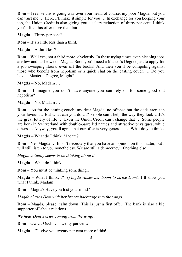**Dom** – I realise this is going way over your head, of course, my poor Magda, but you can trust me … Here, I'll make it simple for you … In exchange for you keeping your job, the Union Credit is also giving you a salary reduction of thirty per cent. I think you'll find this offer more than fair.

**Magda** – Thirty per cent?

**Dom** – It's a little less than a third.

**Magda** – A third less?

**Dom** – Well yes, not a third more, obviously. In these trying times even cleaning jobs are few and far between, Magda. Soon you'll need a Master's Degree just to apply for a job sweeping floors, even off the books! And then you'll be competing against those who benefit from nepotism or a quick chat on the casting couch … Do you have a Master's Degree, Magda?

**Magda** – No, Madam …

**Dom** – I imagine you don't have anyone you can rely on for some good old nepotism?

**Magda** – No, Madam …

**Dom** – As for the casting couch, my dear Magda, no offense but the odds aren't in your favour … But what can you do …? People can't help the way they look …It's the great lottery of life … Even the Union Credit can't change that … Some people are born in Switzerland with double-barrelled names and attractive physiques, while others … Anyway, you'll agree that our offer is very generous … What do you think?

**Magda** – What do I think, Madam?

**Dom** – Yes Magda … It isn't necessary that you have an opinion on this matter, but I will still listen to you nonetheless. We are still a democracy, if nothing else ...

*Magda actually seems to be thinking about it.* 

**Magda** – What do I think …

**Dom** – You must be thinking something…

**Magda** – What I think…? (*Magda raises her boom to strike Dom*). I'll show you what I think, Madam!

**Dom** – Magda? Have you lost your mind?

*Magda chases Dom with her broom backstage into the wings.* 

**Dom** – Magda, please, calm down! This is just a first offer! The bank is also a big supporter of labour relations …

*We hear Dom's cries coming from the wings.* 

**Dom** – Ow ... Ouch ... Twenty per cent?

**Magda** – I'll give you twenty per cent more of this!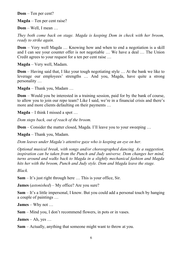**Dom** – Ten per cent?

**Magda** – Ten per cent raise?

**Dom** – Well, I mean …

*They both come back on stage. Magda is keeping Dom in check with her broom, ready to strike again.* 

**Dom** – Very well Magda ... Knowing how and when to end a negotiation is a skill and I can see your counter offer is not negotiable … We have a deal … The Union Credit agrees to your request for a ten per cent raise …

**Magda** – Very well, Madam.

**Dom** – Having said that, I like your tough negotiating style … At the bank we like to leverage our employees' strengths … And you, Magda, have quite a strong personality …

**Magda** – Thank you, Madam …

**Dom** – Would you be interested in a training session, paid for by the bank of course, to allow you to join our repo team? Like I said, we're in a financial crisis and there's more and more clients defaulting on their payments …

**Magda** – I think I missed a spot …

*Dom steps back, out of reach of the broom.*

**Dom** – Consider the matter closed, Magda. I'll leave you to your sweeping …

**Magda** – Thank you, Madam.

*Dom leaves under Magda's attentive gaze who is keeping an eye on her.* 

*Optional musical break, with songs and/or choreographed dancing. As a suggestion, inspiration can be taken from the Punch and Judy universe. Dom changes her mind, turns around and walks back to Magda in a slightly mechanical fashion and Magda hits her with the broom, Punch and Judy style. Dom and Magda leave the stage.*

*Black.* 

**Sam** – It's just right through here … This is your office, Sir.

**James** (*astonished*) – My office? Are you sure?

**Sam** – It's a little impersonal, I know. But you could add a personal touch by hanging a couple of paintings …

**James** – Why not …

**Sam** – Mind you, I don't recommend flowers, in pots or in vases.

**James** – Ah, yes …

**Sam** – Actually, anything that someone might want to throw at you.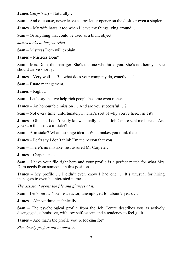**James** (*surprised*) – Naturally…

**Sam** – And of course, never leave a stray letter opener on the desk, or even a stapler.

**James** – My wife hates it too when I leave my things lying around …

**Sam** – Or anything that could be used as a blunt object.

*James looks at her, worried*

**Sam** – Mistress Dom will explain.

**James** – Mistress Dom?

**Sam** – Mrs. Dom, the manager. She's the one who hired you. She's not here yet, she should arrive shortly.

**James** – Very well ... But what does your company do, exactly ...?

**Sam** – Estate management.

**James** – Right …

**Sam** – Let's say that we help rich people become even richer.

**James** – An honourable mission … And are you successful …?

**Sam** – Not every time, unfortunately… That's sort of why you're here, isn't it?

**James** – Oh is it? I don't really know actually … The Job Centre sent me here … Are you sure this isn't a mistake?

**Sam** – A mistake? What a strange idea …What makes you think that?

**James** – Let's say I don't think I'm the person that you …

**Sam** – There's no mistake, rest assured Mr Carpeter.

**James** – Carpenter …

**Sam** – I have your file right here and your profile is a perfect match for what Mrs Dom needs from someone in this position …

**James** – My profile ... I didn't even know I had one ... It's unusual for hiring managers to even be interested in me …

*The assistant opens the file and glances at it.*

**Sam** – Let's see … You' re an actor, unemployed for about 2 years …

**James** – Almost three, technically …

**Sam** – The psychological profile from the Job Centre describes you as actively disengaged, submissive, with low self-esteem and a tendency to feel guilt.

**James** – And that's the profile you're looking for?

*She clearly prefers not to answer.*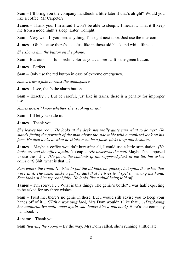**Sam** – I'll bring you the company handbook a little later if that's alright? Would you like a coffee, Mr Carpeter?

**James** – Thank you, I'm afraid I won't be able to sleep… I mean … That it'll keep me from a good night's sleep. Later. Tonight.

**Sam** – Very well. If you need anything, I'm right next door. Just use the intercom.

**James** – Oh, because there's a … Just like in those old black and white films …

*She shows him the button on the phone.*

**Sam** – But ours is in full Technicolor as you can see … It's the green button.

**James** – Perfect …

**Sam** – Only use the red button in case of extreme emergency.

*James tries a joke to relax the atmosphere.*

**James** – I see, that's the alarm button.

**Sam** – Exactly … But be careful, just like in trains, there is a penalty for improper use.

*James doesn't know whether she is joking or not.*

**Sam** – I'll let you settle in.

**James** – Thank you …

*She leaves the room. He looks at the desk, not really quite sure what to do next. He stands facing the portrait of the man above the side table with a confused look on his face. He then looks at what he thinks must be a flask, picks it up and hesitates.*

**James** – Maybe a coffee wouldn't hurt after all, I could use a little stimulation. *(He looks around the office again)* No cup… *(He unscrews the cap)* Maybe I'm supposed to use the lid … *(He pours the contents of the supposed flask in the lid, but ashes come out)* Shit, what is that...?!

*Sam enters the room. He tries to put the lid back on quickly, but spills the ashes that were in it. The ashes make a puff of dust that he tries to dispel by waving his hand. Sam looks at him reproachfully. He looks like a child being told off.*

**James** – I'm sorry, I ... What is this thing? The genie's bottle? I was half expecting to be asked for my three wishes.

**Sam** – Trust me, there's no genie in there. But I would still advise you to keep your hands off of it… *(With a worrying look)* Mrs Dom wouldn't like that … *(Displaying her authoritative smile once again, she hands him a notebook)* Here's the company handbook …

**Jerome** – Thank you …

**Sam** *(leaving the room)* – By the way, Mrs Dom called, she's running a little late.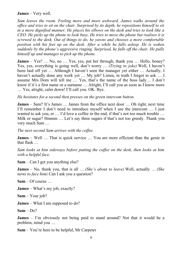**James** – Very well.

*Sam leaves the room. Feeling more and more awkward, James walks around the office and tries to sit on the chair. Surprised by its depth, he repositions himself to sit in a more dignified manner. He places his elbows on the desk and tries to look like a CEO. He picks up the phone to look busy. He tries to move the phone but realises it is screwed to the desk. Out of things to do, he yawns and chooses a more comfortable position with his feet up on the desk. After a while he falls asleep. He is woken suddenly by the phone's aggressive ringing. Surprised, he falls off the chair. He pulls himself up and manages to pick up the phone.*

**James** – Yes? ... No, no ... Yes, yes, put her through, thank you ... Hello, honey? Yes, yes, everything is going well, don't worry … *(Trying to joke)* Well, I haven't been laid off yet … Although I haven't seen the manager yet either … Actually, I haven't actually done any work yet ... My job? Listen, in truth I forgot to ask ... I assume Mrs Dom will tell me … Yes, that's the name of the boss lady… I don't know if it's a first name or a surname … Alright, I'll call you as soon as I know more … Yes, alright, calm down! I'll call you. OK. Bye.

*He hesitates for a second then presses on the green intercom button.*

**James** – Sam? It's James … James from the office next door … Oh right, next time I'll remember I don't need to introduce myself when I use the intercom … I just wanted to ask you, er … I'd love a coffee in the end, if that's not too much trouble … Milk or sugar? Hmmm … Let's say three sugars if that's not too greedy. Thank you very much Sam …

*The next second Sam arrives with the coffee.*

**James** – Well ... That is quick service ... You are more efficient than the genie in that flask …

*Sam looks at him sideways before putting the coffee on the desk, then looks at him with a helpful face.*

**Sam** – Can I get you anything else?

**James** – No, thank you, that is all … *(She's about to leave)* Well, actually … *(She turns to face him)* Can I ask you a question?

**Sam** – Of course …

**James** – What's my job, exactly?

**Sam** – Your job?

**James** – What I am supposed to do?

**Sam** – Do?

**James** – I'm obviously not being paid to stand around? Not that it would be a problem, mind you …

**Sam** – You're here to be helpful, Mr Carpeter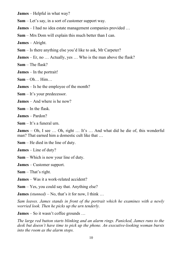**James** – Helpful in what way?

**Sam** – Let's say, in a sort of customer support way.

**James** – I had no idea estate management companies provided …

**Sam** – Mrs Dom will explain this much better than I can.

**James** – Alright.

**Sam** – Is there anything else you'd like to ask, Mr Carpeter?

**James** – Er, no … Actually, yes … Who is the man above the flask?

**Sam** – The flask?

**James** – In the portrait!

**Sam** – Oh… Him…

**James** – Is he the employee of the month?

**Sam** – It's your predecessor.

**James** – And where is he now?

**Sam** – In the flask.

**James** – Pardon?

**Sam** – It's a funeral urn.

**James** – Oh, I see ... Oh, right ... It's ... And what did he die of, this wonderful man? That earned him a domestic cult like that …

**Sam** – He died in the line of duty.

**James** – Line of duty?

**Sam** – Which is now your line of duty.

**James** – Customer support.

**Sam** – That's right.

**James** – Was it a work-related accident?

**Sam** – Yes, you could say that. Anything else?

**James** *(stunned)* – No, that's it for now, I think …

*Sam leaves. James stands in front of the portrait which he examines with a newly worried look. Then he picks up the urn tenderly.*

**James** – So it wasn't coffee grounds …

*The large red button starts blinking and an alarm rings. Panicked, James runs to the desk but doesn't have time to pick up the phone. An executive-looking woman bursts into the room as the alarm stops.*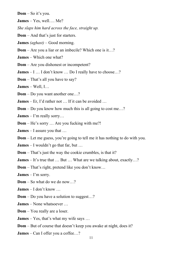**Dom** – So it's you.

**James** – Yes, well…. Me?

*She slaps him hard across the face, straight up.*

**Dom** – And that's just for starters.

**James** *(aghast) –* Good morning.

**Dom** – Are you a liar or an imbecile? Which one is it…?

**James** – Which one what?

- **Dom** Are you dishonest or incompetent?
- **James** I ... I don't know ... Do I really have to choose...?
- **Dom** That's all you have to say?

**James** – Well, I…

**Dom** – Do you want another one…?

**James** – Er, I'd rather not … If it can be avoided …

**Dom** – Do you know how much this is all going to cost me…?

**James** – I'm really sorry…

**Dom** – He's sorry … Are you fucking with me?!

**James** – I assure you that …

- **Dom** Let me guess, you're going to tell me it has nothing to do with you.
- **James** I wouldn't go that far, but …
- **Dom** That's just the way the cookie crumbles, is that it?

**James** – It's true that ... But ... What are we talking about, exactly...?

**Dom** – That's right, pretend like you don't know…

**James** – I'm sorry.

**Dom** – So what do we do now…?

**James** – I don't know …

- **Dom** Do you have a solution to suggest…?
- **James** None whatsoever …

**Dom** – You really are a loser.

- **James** Yes, that's what my wife says …
- **Dom** But of course that doesn't keep you awake at night, does it?
- **James** Can I offer you a coffee…?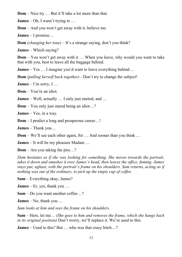**Dom** – Nice try … But it'll take a lot more than that.

**James** – Oh, I wasn't trying to …

**Dom** – And you won't get away with it, believe me.

**James** – I promise…

**Dom** *(changing her tone)* – It's a strange saying, don't you think?

**James** – Which saying?

**Dom** – You won't get away with it … When you leave, why would you want to take that with you, best to leave all the baggage behind.

**James** – Yes … I imagine you'd want to leave everything behind …

**Dom** *(pulling herself back together)* - Don't try to change the subject!

**James** – I'm sorry,  $I...$ 

**Dom** – You're an idiot.

**James** – Well, actually … I only just started, and …

**Dom** – You only just stared being an idiot...?

**James** – Yes, in a way.

**Dom** – I predict a long and prosperous career…!

**James** – Thank you…

**Dom** – We'll see each other again, Sir … And sooner than you think …

**James** – It will be my pleasure Madam …

**Dom** – Are you taking the piss…?

*Dom hesitates as if she was looking for something. She moves towards the portrait, takes it down and smashes it over James's head, then leaves the office, fuming. James stays put, aghast, with the portrait's frame on his shoulders. Sam returns, acting as if nothing was out of the ordinary, to pick up the empty cup of coffee.*

**Sam** – Everything okay, James?

**James** – Er, yes, thank you …

**Sam** – Do you want another coffee…?

**James** – No, thank you …

*Sam looks at him and sees the frame on his shoulders.*

**Sam** – Here, let me… *(She goes to him and removes the frame, which she hangs back in its original position)* Don't worry, we'll replace it. We're used to this.

**James** – Used to this? But ... who was that crazy bitch...?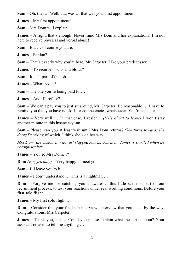**Sam** – Oh, that … Well, that was … that was your first appointment.

**James** – My first appointment?

**Sam** – Mrs Dom will explain.

**James** – Alright, that's enough! Never mind Mrs Dom and her explanations! I'm not here to receive physical and verbal abuse!

**Sam** – But … of course you are.

**James** – Pardon?

**Sam** – That's exactly why you're here, Mr Carpeter. Like your predecessor.

**James** – To receive insults and blows?

**Sam** – It's all part of the job …

**James** – What job …?

**Sam** – The one you're being paid for…!

**James** – And if I refuse?

**Sam** – We can't pay you to just sit around, Mr Carpeter. Be reasonable … I have to remind you that you have no skills or competencies whatsoever. You're an actor …

**James** – Very well … In that case, I resign… *(He's about to leave)* I won't stay another minute in this insane asylum …

**Sam** – Please, can you at least wait until Mrs Dom returns? *(She turns towards the door)* Speaking of which, I think she's on her way …

*Mrs Dom, the customer who just slapped James, comes in. James is startled when he recognises her.*

**James** – You're Mrs Dom…?

**Dom** *(very friendly)* – Very happy to meet you.

**Sam** – I'll leave you to it …

**James** – I don't understand … This is a nightmare…

**Dom** – Forgive me for catching you unawares... this little scene is part of our recruitment process, to test your reactions under real working conditions. Before your first solo flight …

**James** – My first solo flight …

**Dom** – Consider this your final job interview! Interview that you aced, by the way. Congratulations, Mrs Carpeter!

**James** – Thank you, but … Could you please explain what the job is about? Your assistant refused to tell me anything …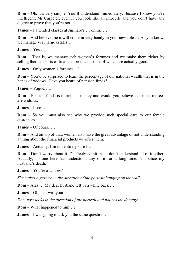**Dom** – Oh, it's very simple. You'll understand immediately. Because I know you're intelligent, Mr Carpeter, even if you look like an imbecile and you don't have any degree to prove that you're not.

**James** – I attended classes at Juilliard's … online …

**Dom** – And believe me it will come in very handy in your new role … As you know, we manage very large estates …

**James** – Yes …

**Dom** – That is, we manage rich women's fortunes and we make them richer by selling them all sorts of financial products, some of which are actually good.

**James** – Only women's fortunes…?

**Dom** – You'd be surprised to learn the percentage of our national wealth that is in the hands of widows. Have you heard of pension funds?

**James** – Vaguely …

**Dom** – Pension funds is retirement money and would you believe that most retirees are widows.

**James** – I see…

**Dom** – So you must also see why we provide such special care to our female customers.

**James** – Of course …

**Dom** – And on top of that, women also have the great advantage of not understanding a thing about the financial products we offer them.

**James** – Actually, I'm not entirely sure I …

**Dom** – Don't worry about it. I'll freely admit that I don't understand all of it either. Actually, no one here has understood any of it for a long time. Not since my husband's death.

**James** – You're a widow?

*She makes a gesture in the direction of the portrait hanging on the wall.*

**Dom** – Alas … My dear husband left us a while back …

**James** – Oh, that was your …

*Dom now looks in the direction of the portrait and notices the damage.*

**Dom** – What happened to him…?

**James** – I was going to ask you the same question…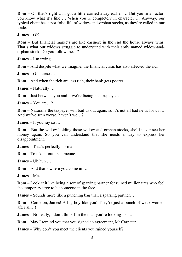**Dom** – Oh that's right ... I got a little carried away earlier ... But you're an actor, you know what it's like … When you're completely in character … Anyway, our typical client has a portfolio full of widow-and-orphan stocks, as they're called in our trade.

**James** – OK …

**Dom** – But financial markets are like casinos: in the end the house always wins. That's what our widows struggle to understand with their aptly named widow-andorphan stock. Do you follow me…?

**James** – I'm trying.

**Dom** – And despite what we imagine, the financial crisis has also affected the rich.

**James** – Of course …

**Dom** – And when the rich are less rich, their bank gets poorer.

**James** – Naturally …

**Dom** – Just between you and I, we're facing bankruptcy ...

**James** – You are…?

**Dom** – Naturally the taxpayer will bail us out again, so it's not all bad news for us ... And we've seen worse, haven't we…?

**James** – If you say so …

**Dom** – But the widow holding those widow-and-orphan stocks, she'll never see her money again. So you can understand that she needs a way to express her disappointment.

**James** – That's perfectly normal.

**Dom** – To take it out on someone.

**James** – Uh huh …

**Dom** – And that's where you come in …

**James** – Me?

**Dom** – Look at it like being a sort of sparring partner for ruined millionaires who feel the temporary urge to hit someone in the face.

**James** – Sounds more like a punching bag than a sparring partner…

**Dom** – Come on, James! A big boy like you! They're just a bunch of weak women after all…!

**James** – No really, I don't think I'm the man you're looking for ...

**Dom** – May I remind you that you signed an agreement, Mr Carpeter…

**James** – Why don't you meet the clients you ruined yourself?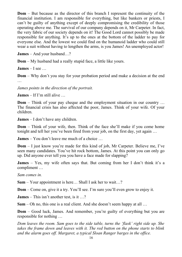**Dom** – But because as the director of this branch I represent the continuity of the financial institution. I am responsible for everything, but like bankers or priests, I can't be guilty of anything except of deeply compromising the credibility of those operating above me. The survival of our company depends on it, Mr Carpeter. In fact, the very fabric of our society depends on it! The Good Lord cannot possibly be made responsible for anything. It's up to the ones at the bottom of the ladder to pay for everyone else. And the lowest we could find on the humanoid ladder who could still wear a suit without having to lengthen the arms, is you James! An unemployed actor!

**James** – And your husband…?

**Dom** – My husband had a really stupid face, a little like yours.

**James** – I see …

**Dom** – Why don't you stay for your probation period and make a decision at the end …

*James points in the direction of the portrait.*

**James** – If I'm still alive …

**Dom** – Think of your pay cheque and the employment situation in our country ... The financial crisis has also affected the poor, James. Think of your wife. Of your children.

**James** – I don't have any children.

**Dom** – Think of your wife, then. Think of the face she'll make if you come home tonight and tell her you've been fired from your job, on the first day, yet again …

**James** – You don't leave me much of a choice …

**Dom** – I just know you're made for this kind of job, Mr Carpeter. Believe me, I've seen many candidates. You've hit rock bottom, James. At this point you can only go up. Did anyone ever tell you you have a face made for slapping?

**James** – Yes, my wife often says that. But coming from her I don't think it's a compliment …

*Sam comes in.*

**Sam** – Your appointment is here… Shall I ask her to wait…?

**Dom** – Come on, give it a try. You'll see. I'm sure you'll even grow to enjoy it.

**James** – This isn't another test, is it …?

**Sam** – Oh no, this one is a real client. And she doesn't seem happy at all …

**Dom** – Good luck, James. And remember, you're guilty of everything but you are responsible for nothing …

*Dom leaves the room. Sam goes to the side table, turns the 'flask' right side up. She takes the frame down and leaves with it. The red button on the phone starts to blink and the alarm goes off. Margaret, a typical Sloan Ranger barges in the office.*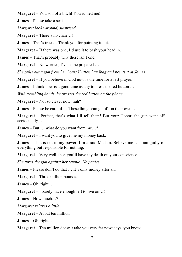**Margaret** – You son of a bitch! You ruined me!

**James** – Please take a seat …

*Margaret looks around, surprised.*

**Margaret** – There's no chair…!

**James** – That's true … Thank you for pointing it out.

**Margaret** – If there was one, I'd use it to bash your head in.

**James** – That's probably why there isn't one.

**Margaret** – No worries, I've come prepared …

*She pulls out a gun from her Louis Vuitton handbag and points it at James.*

**Margaret** – If you believe in God now is the time for a last prayer.

**James** – I think now is a good time as any to press the red button …

*With trembling hands, he presses the red button on the phone.*

**Margaret** – Not so clever now, huh?

**James** – Please be careful … These things can go off on their own …

**Margaret** – Perfect, that's what I'll tell them! But your Honor, the gun went off accidentally…!

**James** – But … what do you want from me…?

**Margaret** – I want you to give me my money back.

**James** – That is not in my power, I'm afraid Madam. Believe me … I am guilty of everything but responsible for nothing.

**Margaret** – Very well, then you'll have my death on your conscience.

*She turns the gun against her temple. He panics.*

**James** – Please don't do that … It's only money after all.

**Margaret** – Three million pounds.

**James** – Oh, right …

**Margaret** – I barely have enough left to live on…!

**James** – How much…?

*Margaret relaxes a little.*

**Margaret** – About ten million.

**James** – Oh, right …

**Margaret** – Ten million doesn't take you very far nowadays, you know …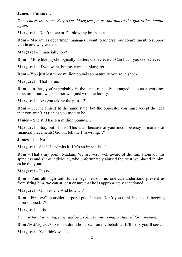**James** – I'm sure …

*Dom enters the room. Surprised, Margaret jumps and places the gun to her temple again.*

**Margaret** – Don't move or I'll blow my brains out…!

**Dom** – Madam, as department manager I want to reiterate our commitment to support you in any way we can.

**Margaret** – Financially too?

**Dom** – More like psychologically. Listen, Genevieve ... Can I call you Genevieve?

**Margaret** – If you want, but my name is Margaret.

**Dom** – You just lost three million pounds so naturally you're in shock.

**Margaret** – That's true.

**Dom** – In fact, you're probably in the same mentally deranged state as a workingclass minimum wage earner who just won the lottery.

**Margaret** – Are you taking the piss…?!

**Dom** – Let me finish! In the same state, but the opposite: you must accept the idea that you aren't as rich as you used to be.

**James** – She still has ten million pounds…

**Margaret** – Stay out of this! This is all because of your incompetency in matters of financial placements! Go on, tell me I'm wrong…?

**James** – I… No …

**Margaret** – See? He admits it! He's an imbecile…!

**Dom** – That's my point, Madam. We are very well aware of the limitations of this spineless and slimy individual, who unfortunately abused the trust we placed in him, as he did yours.

**Margaret** – Pussy.

**Dom** – And although unfortunate legal reasons no one can understand prevent us from firing him, we can at least ensure that he is appropriately sanctioned.

**Margaret** – Oh, yes….? And how …?

**Dom** – First we'll consider corporal punishment. Don't you think his face is begging to be slapped…?

**Margaret** – It is …

*Dom, without warning, turns and slaps James who remains stunned for a moment.*

**Dom** *(to Margaret)* – Go on, don't hold back on my behalf … It'll help, you'll see …

**Margaret** – You think so …?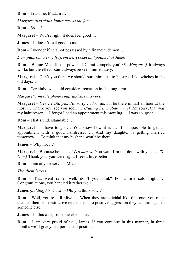**Dom** – Trust me, Madam …

*Margaret also slaps James across the face.*

**Dom** – So …?

**Margaret** – You're right, it does feel good …

**James** – It doesn't feel good to me…!

**Dom** – I wonder if he's not possessed by a financial demon ...

*Dom pulls out a crucifix from her pocket and points it at James.*

**Dom** – Bernie Madoff, the power of Christ compels you! *(To Margaret)* It always works but the effects can't always be seen immediately.

**Margaret** – Don't you think we should burn him, just to be sure? Like witches in the old days…

**Dom** – Certainly, we could consider cremation in the long term...

*Margaret's mobile phone rings and she answers.*

**Margaret** – Yes…? Oh, yes, I'm sorry … No, no, I'll be there in half an hour at the most … Thank you, see you soon … *(Putting her mobile away)* I'm sorry, that was my hairdresser … I forgot I had an appointment this morning … I was so upset …

**Dom** – That's understandable …

**Margaret** – I have to go ... You know how it is ... It's impossible to get an appointment with a good hairdresser … And my daughter is getting married tomorrow … To think that my husband won't be there …

**James** – Why not …?

**Margaret** – Because he's dead! *(To James)* You wait, I'm not done with you … *(To Dom)* Thank you, you were right, I feel a little better.

**Dom** – I am at your service, Madam.

*The client leaves.*

**Dom** – That went rather well, don't you think? For a first solo flight ... Congratulations, you handled it rather well.

**James** *(holding his cheek)* – Oh, you think so…?

**Dom** – Well, you're still alive ... When they are suicidal like this one, you must channel their self-destructive tendencies into positive aggression they can turn against someone else.

**James** – In this case, someone else is me?

**Dom** – I am very proud of you, James. If you continue in this manner, in three months we'll give you a permanent position.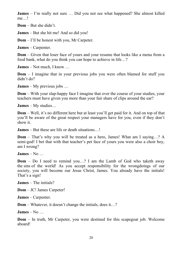**James** – I'm really not sure … Did you not see what happened? She almost killed me…!

**Dom** – But she didn't.

**James** – But she hit me! And so did you!

**Dom** – I'll be honest with you, Mr Carpeter.

**James** – Carpenter.

**Dom** – Given that loser face of yours and your resume that looks like a menu from a food bank, what do you think you can hope to achieve in life…?

**James** – Not much, I know …

**Dom** – I imagine that in your previous jobs you were often blamed for stuff you didn't do?

**James** – My previous jobs …

**Dom** – With your slap-happy face I imagine that over the course of your studies, your teachers must have given you more than your fair share of clips around the ear?

**James** – My studies…

**Dom** – Well, it's no different here but at least you'll get paid for it. And on top of that you'll be aware of the great respect your managers have for you, even if they don't show it.

**James** – But these are life or death situations...!

**Dom** – That's why you will be treated as a hero, James! What am I saying...? A semi-god! I bet that with that teacher's pet face of yours you were also a choir boy, am I wrong?

**James** – No …

**Dom** – Do I need to remind you...? I am the Lamb of God who taketh away the sins of the world! As you accept responsibility for the wrongdoings of our society, you will become our Jesus Christ, James. You already have the initials! That's a sign!

**James** – The initials?

**Dom** – JC! James Carpeter!

**James** – Carpenter.

**Dom** – Whatever, it doesn't change the initials, does it…?

**James** – No …

**Dom** – In truth, Mr Carpeter, you were destined for this scapegoat job. Welcome aboard!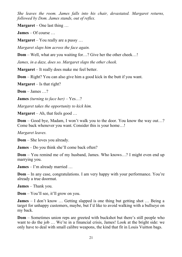*She leaves the room. James falls into his chair, devastated. Margaret returns, followed by Dom. James stands, out of reflex.*

**Margaret** – One last thing …

**James** – Of course …

**Margaret** – You really are a pussy …

*Margaret slaps him across the face again.*

**Dom** – Well, what are you waiting for...? Give her the other cheek...!

*James, in a daze, does so. Margaret slaps the other cheek.*

**Margaret** – It really does make me feel better.

**Dom** – Right? You can also give him a good kick in the butt if you want.

**Margaret** – Is that right?

**Dom** – James …?

**James** *(turning to face her)* – Yes…?

*Margaret takes the opportunity to kick him.*

**Margaret** – Ah, that feels good …

**Dom** – Good bye, Madam, I won't walk you to the door. You know the way out…? Come back whenever you want. Consider this is your home…!

*Margaret leaves.*

**Dom** – She loves you already.

**James** – Do you think she'll come back often?

**Dom** – You remind me of my husband, James. Who knows...? I might even end up marrying you.

**James** – I'm already married …

**Dom** – In any case, congratulations. I am very happy with your performance. You're already a true doormat.

**James** – Thank you.

**Dom** – You'll see, it'll grow on you.

**James** – I don't know ... Getting slapped is one thing but getting shot ... Being a target for unhappy customers, maybe, but I'd like to avoid walking with a bullseye on my back.

**Dom** – Sometimes union reps are greeted with buckshot but there's still people who want to do the job ... We're in a financial crisis, James! Look at the bright side: we only have to deal with small calibre weapons, the kind that fit in Louis Vuitton bags.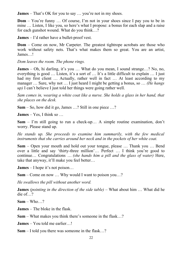**James** – That's OK for you to say … you're not in my shoes.

**Dom** – You're funny ... Of course, I'm not in your shoes since I pay you to be in mine … Listen, I like you, so here's what I propose: a bonus for each slap and a raise for each gunshot wound. What do you think…?

**James** – I'd rather have a bullet-proof vest.

**Dom** – Come on now, Mr Carpeter. The greatest tightrope acrobats are those who work without safety nets. That's what makes them so great. You are an artist, James…!

*Dom leaves the room. The phone rings.*

**James** – Oh, hi darling, it's you ... What do you mean, I sound strange...? No, no, everything is good … Listen, it's a sort of … It's a little difficult to explain … I just had my first client ... Actually, rather well in fact ... At least according to my manager … Sure, why not … I just heard I might be getting a bonus, so … *(He hangs up*) I can't believe I just told her things were going rather well.

*Sam comes in, wearing a white coat like a nurse. She holds a glass in her hand, that she places on the desk.*

**Sam** – So, how did it go, James …? Still in one piece …?

**James** – Yes, I think so …

**Sam** – I'm still going to run a check-up… A simple routine examination, don't worry. Please stand up.

*He stands up. She proceeds to examine him summarily, with the few medical instruments that she carries around her neck and in the pockets of her white coat.*

**Sam** – Open your mouth and hold out your tongue, please … Thank you … Bend over a little and say 'thirty-three million'… Perfect … I think you're good to continue… Congratulations … *(she hands him a pill and the glass of water)* Here, take that anyway, it'll make you feel better…

**James** – I hope it's not poison…

**Sam** – Come on now … Why would I want to poison you…?

*He swallows the pill without another word.*

**James** *(pointing in the direction of the side table) –* What about him … What did he die of…?

 $\textbf{Sam} - \text{Who} \quad$ ?

**James** – The bloke in the flask.

**Sam** – What makes you think there's someone in the flask…?

**James** – You told me earlier…!

**Sam** – I told you there was someone in the flask…?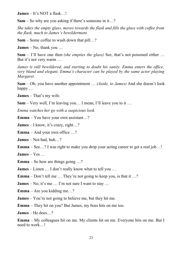**James** – It's NOT a flask…!

**Sam** – So why are you asking if there's someone in it…?

*She takes the empty glass, moves towards the flask and fills the glass with coffee from the flask, much to James's bewilderment.*

**Sam** – Some coffee to wash down that pill…?

**James** – No, thank you …

**Sam** – I'll have one then *(she empties the glass)* See, that's not poisoned either … But it's not very warm …

*James is still bewildered, and starting to doubt his sanity. Emma enters the office, very bland and elegant. Emma's character can be played by the same actor playing Margaret.*

**Sam** – Oh, you have another appointment … *(Aside, to James)* And she doesn't look happy …

**James** – That's my wife.

**Sam** – Very well, I'm leaving you… I mean, I'll leave you to it …

*Emma watches her go with a suspicious look.*

**Emma** – You have your own assistant…?

**James** – I know, it's crazy, right…?

**Emma** – And your own office …?

**James** – Not bad, huh…?

**Emma** – See…? I was right to make you drop your acting career to get a real job…!

**James** – Yes …

**Emma** – So how are things going …?

**James** – Listen … I don't really know what to tell you …

**Emma** – Don't tell me … They're not going to keep you, is that it …?

**James** – No, it's me … I'm not sure I want to stay …

**Emma** – Are you kidding me…?

**James** – You're not going to believe me, but they hit me.

**Emma** – They hit on you? But James, my boss hits on me too.

**James** – He does…?

**Emma** – My colleagues hit on me. My clients hit on me. Everyone hits on me. But I need to work…!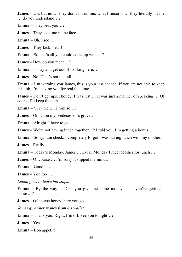**James** – Oh, but no … they don't hit on me, what I mean is … they literally hit me … do you understand…?

**Emma** – They beat you…?

**James** – They sock me in the face…!

**Emma** – Oh, I see …

**James** – They kick me…!

**Emma** – So that's all you could come up with …?

**James** – How do you mean…?

**Emma** – To try and get out of working here…!

**James** – No! That's not it at all…!

**Emma** – I'm warning you James, this is your last chance. If you are not able to keep this job, I'm leaving you for real this time.

**James** – Don't get upset honey, I was just ... It was just a manner of speaking ... Of course I'll keep this job…

**Emma** – Very well… Promise…?

**James** – On … on my predecessor's grave…

**Emma** – Alright, I have to go …

**James** – We're not having lunch together...? I told you, I'm getting a bonus...!

**Emma** – Sorry, rain check. I completely forgot I was having lunch with my mother.

**James** – Really…?

**Emma** – Today's Monday, James … Every Monday I meet Mother for lunch …

**James** – Of course ... I'm sorry it slipped my mind...

**Emma** – Good luck …

**James** – You too …

*Emma goes to leave but stops.*

**Emma** – By the way … Can you give me some money since you're getting a bonus…?

**James** – Of course honey, here you go.

*James gives her money from his wallet.*

**Emma** – Thank you. Right, I'm off. See you tonight…?

**James** – Yes.

**Emma** – Bon appetit!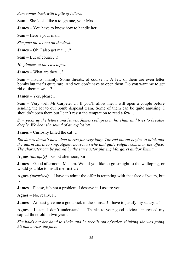*Sam comes back with a pile of letters.*

**Sam** – She looks like a tough one, your Mrs.

**James** – You have to know how to handle her.

**Sam** – Here's your mail.

*She puts the letters on the desk.*

**James** – Oh, I also get mail…?

**Sam** – But of course…!

*He glances at the envelopes.*

**James** – What are they…?

**Sam** – Insults, mainly. Some threats, of course … A few of them are even letter bombs but that's quite rare. And you don't have to open them. Do you want me to get rid of them now …?

**James** – Yes, please…

**Sam** – Very well Mr Carpeter … If you'll allow me, I will open a couple before sending the lot to our bomb disposal team. Some of them can be quite amusing. I shouldn't open them but I can't resist the temptation to read a few ...

*Sam picks up the letters and leaves. James collapses in his chair and tries to breathe deeply. We hear the sound of an explosion.*

**James** – Curiosity killed the cat …

*But James doesn't have time to rest for very long. The red button begins to blink and the alarm starts to ring. Agnes, nouveau riche and quite vulgar, comes in the office. The character can be played by the same actor playing Margaret and/or Emma.*

**Agnes** *(abruptly)* – Good afternoon, Sir.

**James** – Good afternoon, Madam. Would you like to go straight to the walloping, or would you like to insult me first…?

**Agnes** *(surprised)* – I have to admit the offer is tempting with that face of yours, but

**James** – Please, it's not a problem. I deserve it, I assure you.

**Agnes** – No, really, I…

…

**James** – At least give me a good kick in the shins...! I have to justify my salary...!

**Agnes** – Listen, I don't understand … Thanks to your good advice I increased my capital threefold in two years.

*She holds out her hand to shake and he recoils out of reflex, thinking she was going hit him across the face.*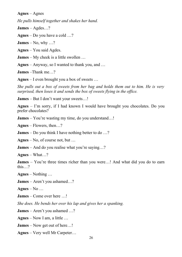**Agnes** – Agnes

*He pulls himself together and shakes her hand.*

**James** – Agdes…?

**Agnes** – Do you have a cold …?

**James** – No, why  $\ldots$ ?

**Agnes** – You said Agdes.

**James** – My cheek is a little swollen …

**Agnes** – Anyway, so I wanted to thank you, and …

**James** –Thank me…?

**Agnes** – I even brought you a box of sweets …

*She pulls out a box of sweets from her bag and holds them out to him. He is very surprised, then loses it and sends the box of sweets flying in the office.*

**James** – But I don't want your sweets…!

**Agnes** – I'm sorry, if I had known I would have brought you chocolates. Do you prefer chocolates?

**James** – You're wasting my time, do you understand…!

**Agnes** – Flowers, then…?

**James** – Do you think I have nothing better to do …?

**Agnes** – No, of course not, but …

**James** – And do you realise what you're saying...?

**Agnes** – What…?

**James** – You're three times richer than you were…! And what did you do to earn this…?

**Agnes** – Nothing …

**James** – Aren't you ashamed…?

**Agnes** – No …

**James** – Come over here …!

*She does. He bends her over his lap and gives her a spanking.*

**James** – Aren't you ashamed …?

**Agnes** – Now I am, a little …

**James** – Now get out of here…!

**Agnes** – Very well Mr Carpeter…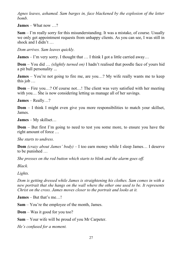*Agnes leaves, ashamed. Sam barges in, face blackened by the explosion of the letter bomb.*

**James** – What now …?

**Sam** – I'm really sorry for this misunderstanding. It was a mistake, of course. Usually we only get appointment requests from unhappy clients. As you can see, I was still in shock and I didn't …

*Dom arrives. Sam leaves quickly.*

**James** – I'm very sorry. I thought that ... I think I got a little carried away...

**Dom** – You did … *(slightly turned on)* I hadn't realised that poodle face of yours hid a pit bull personality ...

**James** – You're not going to fire me, are you...? My wife really wants me to keep this job …

**Dom** – Fire you...? Of course not...! The client was very satisfied with her meeting with you... She is now considering letting us manage all of her savings.

**James** – Really…?

**Dom** – I think I might even give you more responsibilities to match your skillset, James.

**James** – My skillset…

**Dom** – But first I'm going to need to test you some more, to ensure you have the right amount of force …

*She starts to undress.*

**Dom** *(crazy about James' body)* – I too earn money while I sleep James… I deserve to be punished …

*She presses on the red button which starts to blink and the alarm goes off.*

*Black.*

*Lights.*

*Dom is getting dressed while James is straightening his clothes. Sam comes in with a new portrait that she hangs on the wall where the other one used to be. It represents Christ on the cross. James moves closer to the portrait and looks at it.*

**James** – But that's me…!

**Sam** – You're the employee of the month, James.

**Dom** – Was it good for you too?

**Sam** – Your wife will be proud of you Mr Carpeter.

*He's confused for a moment.*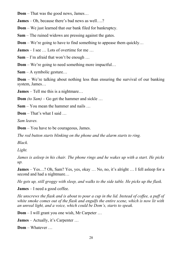**Dom** – That was the good news, James…

**James** – Oh, because there's bad news as well….?

**Dom** – We just learned that our bank filed for bankruptcy.

**Sam** – The ruined widows are pressing against the gates.

**Dom** – We're going to have to find something to appease them quickly...

**James** – I see … Lots of overtime for me …

**Sam** – I'm afraid that won't be enough …

**Dom** – We're going to need something more impactful...

**Sam** – A symbolic gesture…

**Dom** – We're talking about nothing less than ensuring the survival of our banking system, James…

**James** – Tell me this is a nightmare…

**Dom** *(to Sam)* – Go get the hammer and sickle …

**Sam** – You mean the hammer and nails …

**Dom** – That's what I said …

*Sam leaves.*

**Dom** – You have to be courageous, James.

*The red button starts blinking on the phone and the alarm starts to ring.*

*Black.*

*Light.*

*James is asleep in his chair. The phone rings and he wakes up with a start. He picks up.*

**James** – Yes…? Oh, Sam? Yes, yes, okay … No, no, it's alright … I fell asleep for a second and had a nightmare…

*He gets up, still groggy with sleep, and walks to the side table. He picks up the flask.*

**James** – I need a good coffee.

*He unscrews the flask and is about to pour a cup in the lid. Instead of coffee, a puff of white smoke comes out of the flask and engulfs the entire scene, which is now lit with an unreal light, and a voice, which could be Dom's, starts to speak.*

**Dom** – I will grant you one wish, Mr Carpeter …

**James** – Actually, it's Carpenter …

**Dom** – Whatever …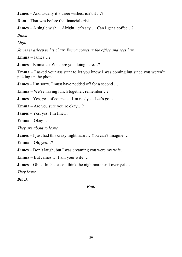**James** – And usually it's three wishes, isn't it ...?

**Dom** – That was before the financial crisis …

**James** – A single wish ... Alright, let's say … Can I get a coffee…?

*Black*

*Light*

*James is asleep in his chair. Emma comes in the office and sees him.*

**Emma** – James…?

**James** – Emma…? What are you doing here…?

**Emma** – I asked your assistant to let you know I was coming but since you weren't picking up the phone…

**James** – I'm sorry, I must have nodded off for a second ...

**Emma** – We're having lunch together, remember…?

**James** – Yes, yes, of course … I'm ready … Let's go …

**Emma** – Are you sure you're okay...?

**James** – Yes, yes, I'm fine…

**Emma** – Okay…

*They are about to leave.*

**James** – I just had this crazy nightmare … You can't imagine …

**Emma** – Oh, yes…?

**James** – Don't laugh, but I was dreaming you were my wife.

**Emma** – But James … I am your wife …

**James** – Oh ... In that case I think the nightmare isn't over yet ...

*They leave.*

*Black.*

#### *End.*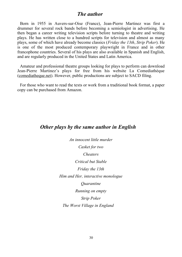## *The author*

Born in 1955 in Auvers-sur-Oise (France), Jean-Pierre Martinez was first a drummer for several rock bands before becoming a semiologist in advertising. He then began a career writing television scripts before turning to theatre and writing plays. He has written close to a hundred scripts for television and almost as many plays, some of which have already become classics (*Friday the 13th*, *Strip Poker*). He is one of the most produced contemporary playwright in France and in other francophone countries. Several of his plays are also available in Spanish and English, and are regularly produced in the United States and Latin America.

Amateur and professional theatre groups looking for plays to perform can download Jean-Pierre Martinez's plays for free from his website La Comediathèque (comediatheque.net). However, public productions are subject to SACD filing.

For those who want to read the texts or work from a traditional book format, a paper copy can be purchased from Amazon.

## *Other plays by the same author in English*

*An innocent little murder Casket for two Cheaters Critical but Stable Friday the 13th Him and Her, interactive monologue Quarantine Running on empty Strip Poker The Worst Village in England*